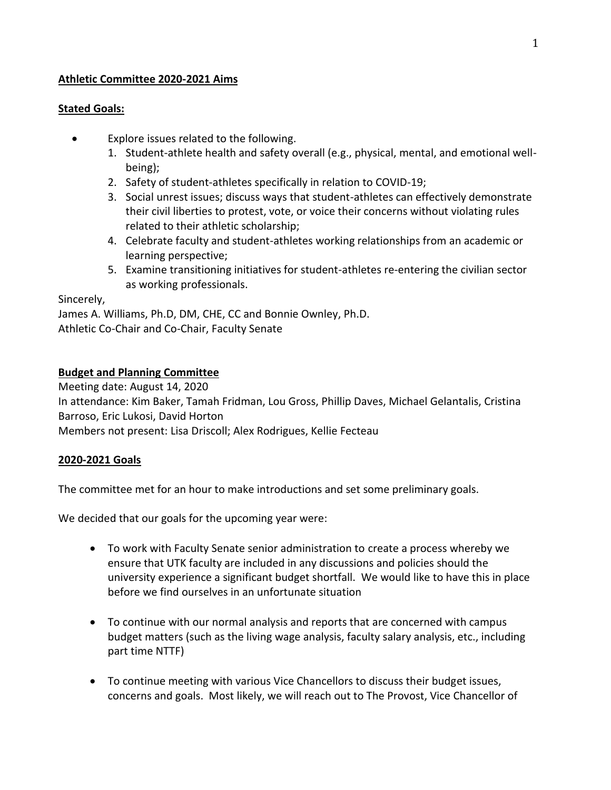#### **Athletic Committee 2020-2021 Aims**

#### **Stated Goals:**

- Explore issues related to the following.
	- 1. Student-athlete health and safety overall (e.g., physical, mental, and emotional wellbeing);
	- 2. Safety of student-athletes specifically in relation to COVID-19;
	- 3. Social unrest issues; discuss ways that student-athletes can effectively demonstrate their civil liberties to protest, vote, or voice their concerns without violating rules related to their athletic scholarship;
	- 4. Celebrate faculty and student-athletes working relationships from an academic or learning perspective;
	- 5. Examine transitioning initiatives for student-athletes re-entering the civilian sector as working professionals.

Sincerely,

James A. Williams, Ph.D, DM, CHE, CC and Bonnie Ownley, Ph.D. Athletic Co-Chair and Co-Chair, Faculty Senate

## **Budget and Planning Committee**

Meeting date: August 14, 2020 In attendance: Kim Baker, Tamah Fridman, Lou Gross, Phillip Daves, Michael Gelantalis, Cristina Barroso, Eric Lukosi, David Horton Members not present: Lisa Driscoll; Alex Rodrigues, Kellie Fecteau

## **2020-2021 Goals**

The committee met for an hour to make introductions and set some preliminary goals.

We decided that our goals for the upcoming year were:

- To work with Faculty Senate senior administration to create a process whereby we ensure that UTK faculty are included in any discussions and policies should the university experience a significant budget shortfall. We would like to have this in place before we find ourselves in an unfortunate situation
- To continue with our normal analysis and reports that are concerned with campus budget matters (such as the living wage analysis, faculty salary analysis, etc., including part time NTTF)
- To continue meeting with various Vice Chancellors to discuss their budget issues, concerns and goals. Most likely, we will reach out to The Provost, Vice Chancellor of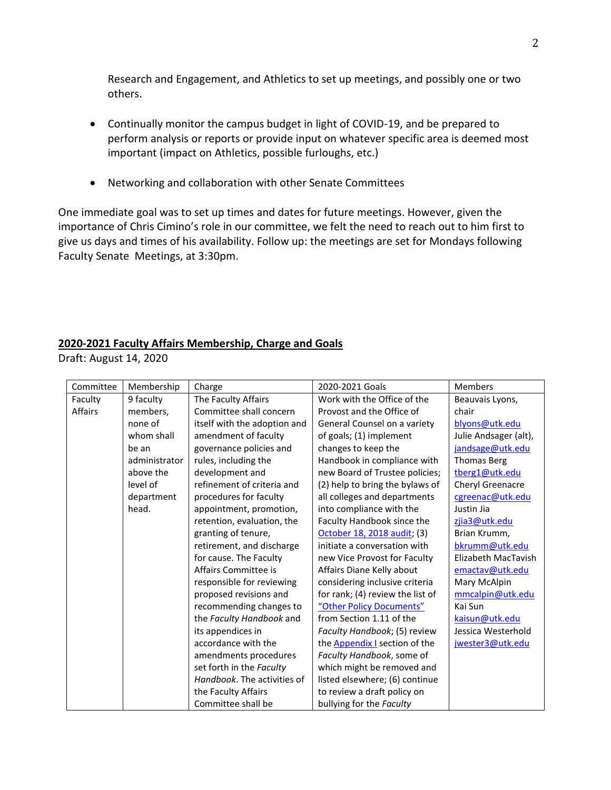Research and Engagement, and Athletics to set up meetings, and possibly one or two others.

- Continually monitor the campus budget in light of COVID-19, and be prepared to perform analysis or reports or provide input on whatever specific area is deemed most important (impact on Athletics, possible furloughs, etc.)
- Networking and collaboration with other Senate Committees

One immediate goal was to set up times and dates for future meetings. However, given the importance of Chris Cimino's role in our committee, we felt the need to reach out to him first to give us days and times of his availability. Follow up: the meetings are set for Mondays following Faculty Senate Meetings, at 3:30pm.

#### **2020-2021 Faculty Affairs Membership, Charge and Goals**

Draft: August 14, 2020

| Committee | Membership    | Charge                       | 2020-2021 Goals                      | <b>Members</b>        |
|-----------|---------------|------------------------------|--------------------------------------|-----------------------|
| Faculty   | 9 faculty     | The Faculty Affairs          | Work with the Office of the          | Beauvais Lyons,       |
| Affairs   | members,      | Committee shall concern      | Provost and the Office of            | chair                 |
|           | none of       | itself with the adoption and | General Counsel on a variety         | blyons@utk.edu        |
|           | whom shall    | amendment of faculty         | of goals; (1) implement              | Julie Andsager (alt), |
|           | be an         | governance policies and      | changes to keep the                  | jandsage@utk.edu      |
|           | administrator | rules, including the         | Handbook in compliance with          | <b>Thomas Berg</b>    |
|           | above the     | development and              | new Board of Trustee policies;       | tberg1@utk.edu        |
|           | level of      | refinement of criteria and   | (2) help to bring the bylaws of      | Cheryl Greenacre      |
|           | department    | procedures for faculty       | all colleges and departments         | cgreenac@utk.edu      |
|           | head.         | appointment, promotion,      | into compliance with the             | Justin Jia            |
|           |               | retention, evaluation, the   | Faculty Handbook since the           | zjia3@utk.edu         |
|           |               | granting of tenure,          | October 18, 2018 audit; (3)          | Brian Krumm,          |
|           |               | retirement, and discharge    | initiate a conversation with         | bkrumm@utk.edu        |
|           |               | for cause. The Faculty       | new Vice Provost for Faculty         | Elizabeth MacTavish   |
|           |               | Affairs Committee is         | Affairs Diane Kelly about            | emactav@utk.edu       |
|           |               | responsible for reviewing    | considering inclusive criteria       | Mary McAlpin          |
|           |               | proposed revisions and       | for rank; (4) review the list of     | mmcalpin@utk.edu      |
|           |               | recommending changes to      | "Other Policy Documents"             | Kai Sun               |
|           |               | the Faculty Handbook and     | from Section 1.11 of the             | kaisun@utk.edu        |
|           |               | its appendices in            | Faculty Handbook; (5) review         | Jessica Westerhold    |
|           |               | accordance with the          | the <b>Appendix</b> I section of the | jwester3@utk.edu      |
|           |               | amendments procedures        | Faculty Handbook, some of            |                       |
|           |               | set forth in the Faculty     | which might be removed and           |                       |
|           |               | Handbook. The activities of  | listed elsewhere; (6) continue       |                       |
|           |               | the Faculty Affairs          | to review a draft policy on          |                       |
|           |               | Committee shall be           | bullying for the Faculty             |                       |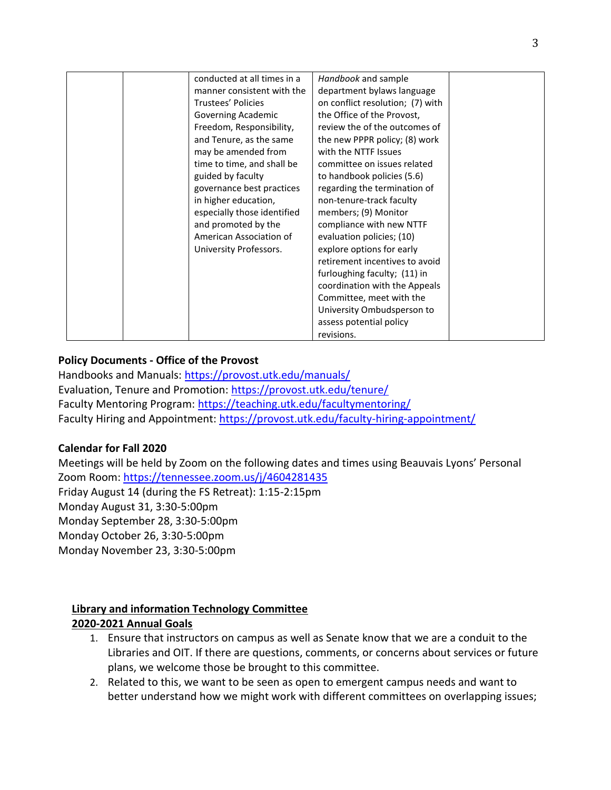| conducted at all times in a | Handbook and sample              |  |
|-----------------------------|----------------------------------|--|
| manner consistent with the  | department bylaws language       |  |
|                             |                                  |  |
| <b>Trustees' Policies</b>   | on conflict resolution; (7) with |  |
| Governing Academic          | the Office of the Provost,       |  |
| Freedom, Responsibility,    | review the of the outcomes of    |  |
| and Tenure, as the same     | the new PPPR policy; (8) work    |  |
| may be amended from         | with the NTTF Issues             |  |
| time to time, and shall be  | committee on issues related      |  |
| guided by faculty           | to handbook policies (5.6)       |  |
| governance best practices   | regarding the termination of     |  |
| in higher education,        | non-tenure-track faculty         |  |
| especially those identified | members; (9) Monitor             |  |
| and promoted by the         | compliance with new NTTF         |  |
| American Association of     | evaluation policies; (10)        |  |
| University Professors.      | explore options for early        |  |
|                             | retirement incentives to avoid   |  |
|                             | furloughing faculty; (11) in     |  |
|                             | coordination with the Appeals    |  |
|                             | Committee, meet with the         |  |
|                             | University Ombudsperson to       |  |
|                             | assess potential policy          |  |
|                             | revisions.                       |  |

## **Policy Documents - Office of the Provost**

Handbooks and Manuals:<https://provost.utk.edu/manuals/> Evaluation, Tenure and Promotion:<https://provost.utk.edu/tenure/> Faculty Mentoring Program:<https://teaching.utk.edu/facultymentoring/> Faculty Hiring and Appointment:<https://provost.utk.edu/faculty-hiring-appointment/>

## **Calendar for Fall 2020**

Meetings will be held by Zoom on the following dates and times using Beauvais Lyons' Personal Zoom Room:<https://tennessee.zoom.us/j/4604281435> Friday August 14 (during the FS Retreat): 1:15-2:15pm Monday August 31, 3:30-5:00pm Monday September 28, 3:30-5:00pm Monday October 26, 3:30-5:00pm Monday November 23, 3:30-5:00pm

## **Library and information Technology Committee**

## **2020-2021 Annual Goals**

- 1. Ensure that instructors on campus as well as Senate know that we are a conduit to the Libraries and OIT. If there are questions, comments, or concerns about services or future plans, we welcome those be brought to this committee.
- 2. Related to this, we want to be seen as open to emergent campus needs and want to better understand how we might work with different committees on overlapping issues;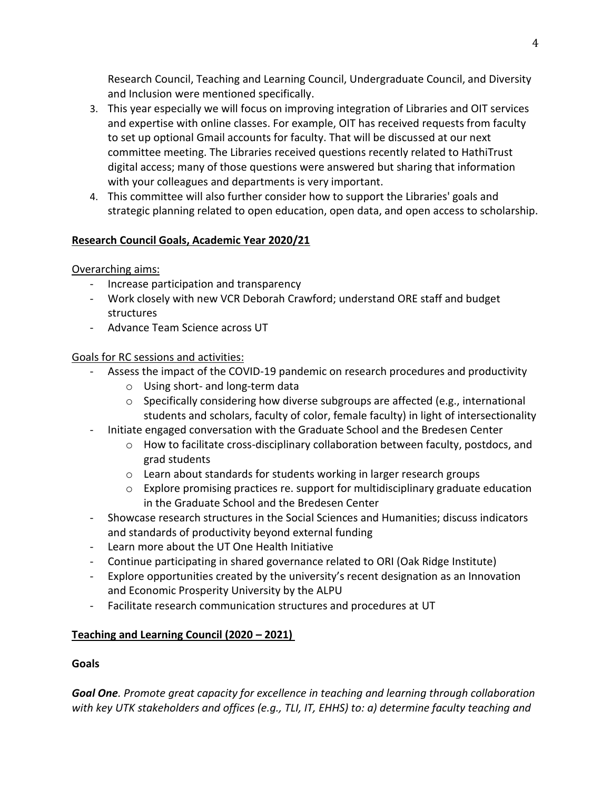Research Council, Teaching and Learning Council, Undergraduate Council, and Diversity and Inclusion were mentioned specifically.

- 3. This year especially we will focus on improving integration of Libraries and OIT services and expertise with online classes. For example, OIT has received requests from faculty to set up optional Gmail accounts for faculty. That will be discussed at our next committee meeting. The Libraries received questions recently related to HathiTrust digital access; many of those questions were answered but sharing that information with your colleagues and departments is very important.
- 4. This committee will also further consider how to support the Libraries' goals and strategic planning related to open education, open data, and open access to scholarship.

# **Research Council Goals, Academic Year 2020/21**

Overarching aims:

- Increase participation and transparency
- Work closely with new VCR Deborah Crawford; understand ORE staff and budget structures
- Advance Team Science across UT

# Goals for RC sessions and activities:

- Assess the impact of the COVID-19 pandemic on research procedures and productivity
	- o Using short- and long-term data
	- $\circ$  Specifically considering how diverse subgroups are affected (e.g., international students and scholars, faculty of color, female faculty) in light of intersectionality
- Initiate engaged conversation with the Graduate School and the Bredesen Center
	- $\circ$  How to facilitate cross-disciplinary collaboration between faculty, postdocs, and grad students
	- $\circ$  Learn about standards for students working in larger research groups
	- o Explore promising practices re. support for multidisciplinary graduate education in the Graduate School and the Bredesen Center
- Showcase research structures in the Social Sciences and Humanities; discuss indicators and standards of productivity beyond external funding
- Learn more about the UT One Health Initiative
- Continue participating in shared governance related to ORI (Oak Ridge Institute)
- Explore opportunities created by the university's recent designation as an Innovation and Economic Prosperity University by the ALPU
- Facilitate research communication structures and procedures at UT

## **Teaching and Learning Council (2020 – 2021)**

## **Goals**

*Goal One. Promote great capacity for excellence in teaching and learning through collaboration with key UTK stakeholders and offices (e.g., TLI, IT, EHHS) to: a) determine faculty teaching and*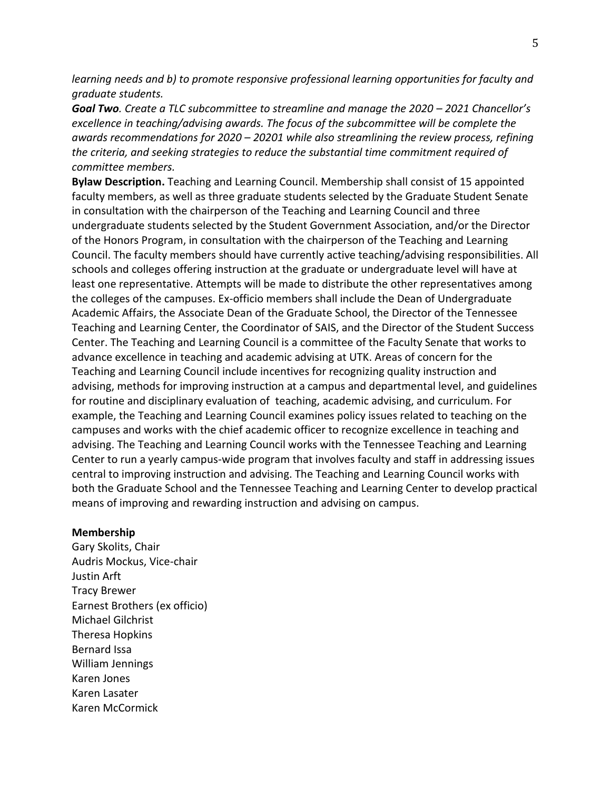*learning needs and b) to promote responsive professional learning opportunities for faculty and graduate students.*

*Goal Two. Create a TLC subcommittee to streamline and manage the 2020 – 2021 Chancellor's excellence in teaching/advising awards. The focus of the subcommittee will be complete the awards recommendations for 2020 – 20201 while also streamlining the review process, refining the criteria, and seeking strategies to reduce the substantial time commitment required of committee members.*

**Bylaw Description.** Teaching and Learning Council. Membership shall consist of 15 appointed faculty members, as well as three graduate students selected by the Graduate Student Senate in consultation with the chairperson of the Teaching and Learning Council and three undergraduate students selected by the Student Government Association, and/or the Director of the Honors Program, in consultation with the chairperson of the Teaching and Learning Council. The faculty members should have currently active teaching/advising responsibilities. All schools and colleges offering instruction at the graduate or undergraduate level will have at least one representative. Attempts will be made to distribute the other representatives among the colleges of the campuses. Ex-officio members shall include the Dean of Undergraduate Academic Affairs, the Associate Dean of the Graduate School, the Director of the Tennessee Teaching and Learning Center, the Coordinator of SAIS, and the Director of the Student Success Center. The Teaching and Learning Council is a committee of the Faculty Senate that works to advance excellence in teaching and academic advising at UTK. Areas of concern for the Teaching and Learning Council include incentives for recognizing quality instruction and advising, methods for improving instruction at a campus and departmental level, and guidelines for routine and disciplinary evaluation of teaching, academic advising, and curriculum. For example, the Teaching and Learning Council examines policy issues related to teaching on the campuses and works with the chief academic officer to recognize excellence in teaching and advising. The Teaching and Learning Council works with the Tennessee Teaching and Learning Center to run a yearly campus-wide program that involves faculty and staff in addressing issues central to improving instruction and advising. The Teaching and Learning Council works with both the Graduate School and the Tennessee Teaching and Learning Center to develop practical means of improving and rewarding instruction and advising on campus.

#### **Membership**

Gary Skolits, Chair Audris Mockus, Vice-chair Justin Arft Tracy Brewer Earnest Brothers (ex officio) Michael Gilchrist Theresa Hopkins Bernard Issa William Jennings Karen Jones Karen Lasater Karen McCormick